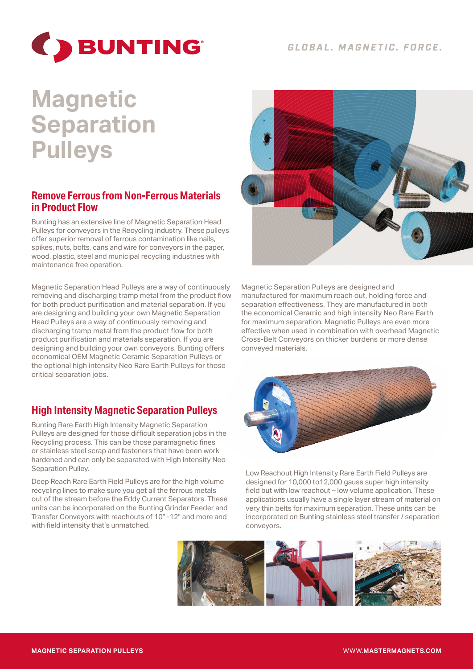

# **Magnetic Separation Pulleys**

### **Remove Ferrous from Non-Ferrous Materials in Product Flow**

Bunting has an extensive line of Magnetic Separation Head Pulleys for conveyors in the Recycling industry. These pulleys offer superior removal of ferrous contamination like nails, spikes, nuts, bolts, cans and wire for conveyors in the paper, wood, plastic, steel and municipal recycling industries with maintenance free operation.

Magnetic Separation Head Pulleys are a way of continuously removing and discharging tramp metal from the product flow for both product purification and material separation. If you are designing and building your own Magnetic Separation Head Pulleys are a way of continuously removing and discharging tramp metal from the product flow for both product purification and materials separation. If you are designing and building your own conveyors, Bunting offers economical OEM Magnetic Ceramic Separation Pulleys or the optional high intensity Neo Rare Earth Pulleys for those critical separation jobs.

## **High Intensity Magnetic Separation Pulleys**

Bunting Rare Earth High Intensity Magnetic Separation Pulleys are designed for those difficult separation jobs in the Recycling process. This can be those paramagnetic fines or stainless steel scrap and fasteners that have been work hardened and can only be separated with High Intensity Neo Separation Pulley.

Deep Reach Rare Earth Field Pulleys are for the high volume recycling lines to make sure you get all the ferrous metals out of the stream before the Eddy Current Separators. These units can be incorporated on the Bunting Grinder Feeder and Transfer Conveyors with reachouts of 10" -12" and more and with field intensity that's unmatched.



Magnetic Separation Pulleys are designed and manufactured for maximum reach out, holding force and separation effectiveness. They are manufactured in both the economical Ceramic and high intensity Neo Rare Earth for maximum separation. Magnetic Pulleys are even more effective when used in combination with overhead Magnetic Cross-Belt Conveyors on thicker burdens or more dense conveyed materials.



Low Reachout High Intensity Rare Earth Field Pulleys are designed for 10,000 to12,000 gauss super high intensity field but with low reachout – low volume application. These applications usually have a single layer stream of material on very thin belts for maximum separation. These units can be incorporated on Bunting stainless steel transfer / separation conveyors.